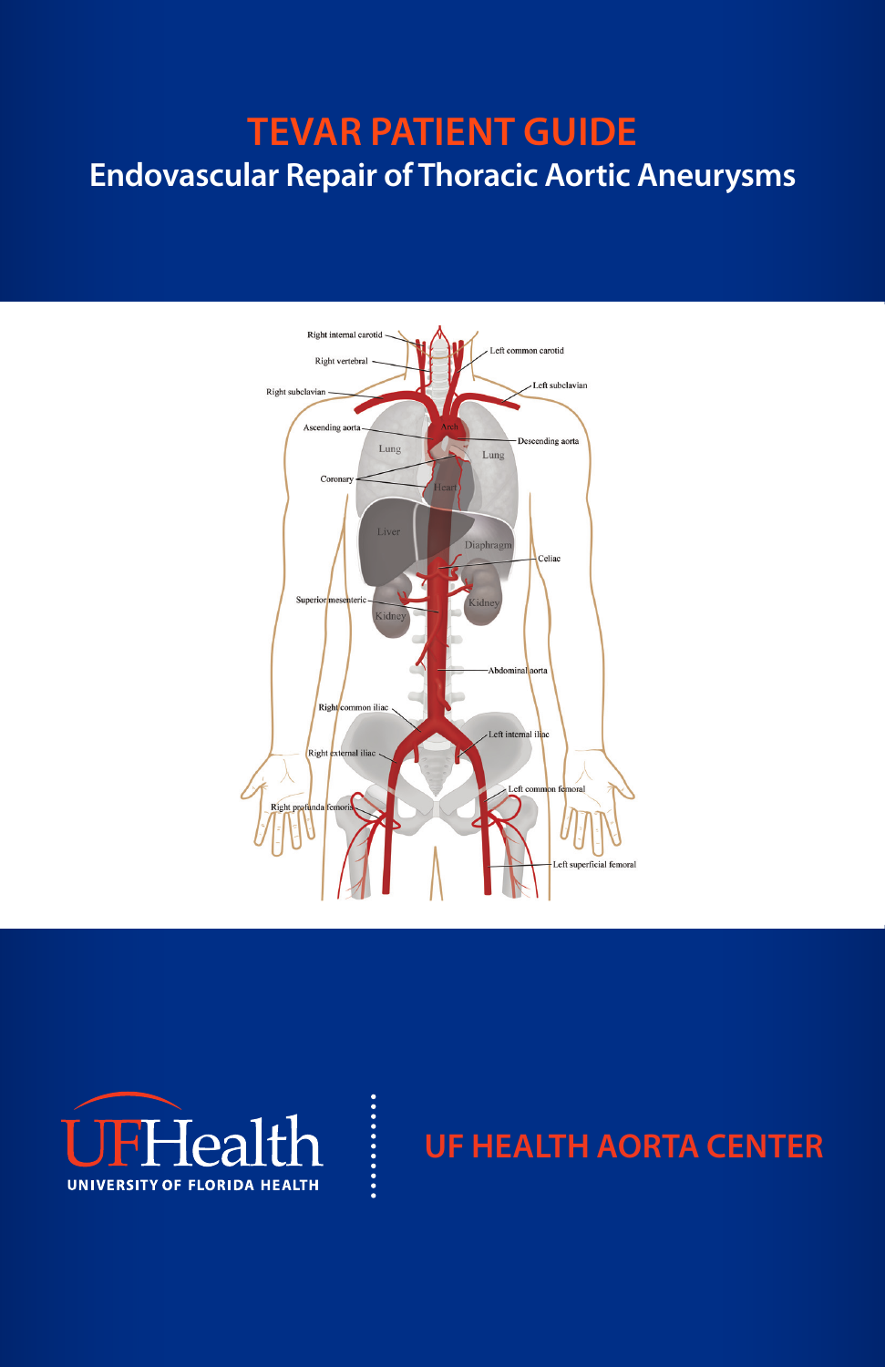# **TEVAR PATIENT GUIDE Endovascular Repair of Thoracic Aortic Aneurysms**



.........



# **UF HEALTH AORTA CENTER**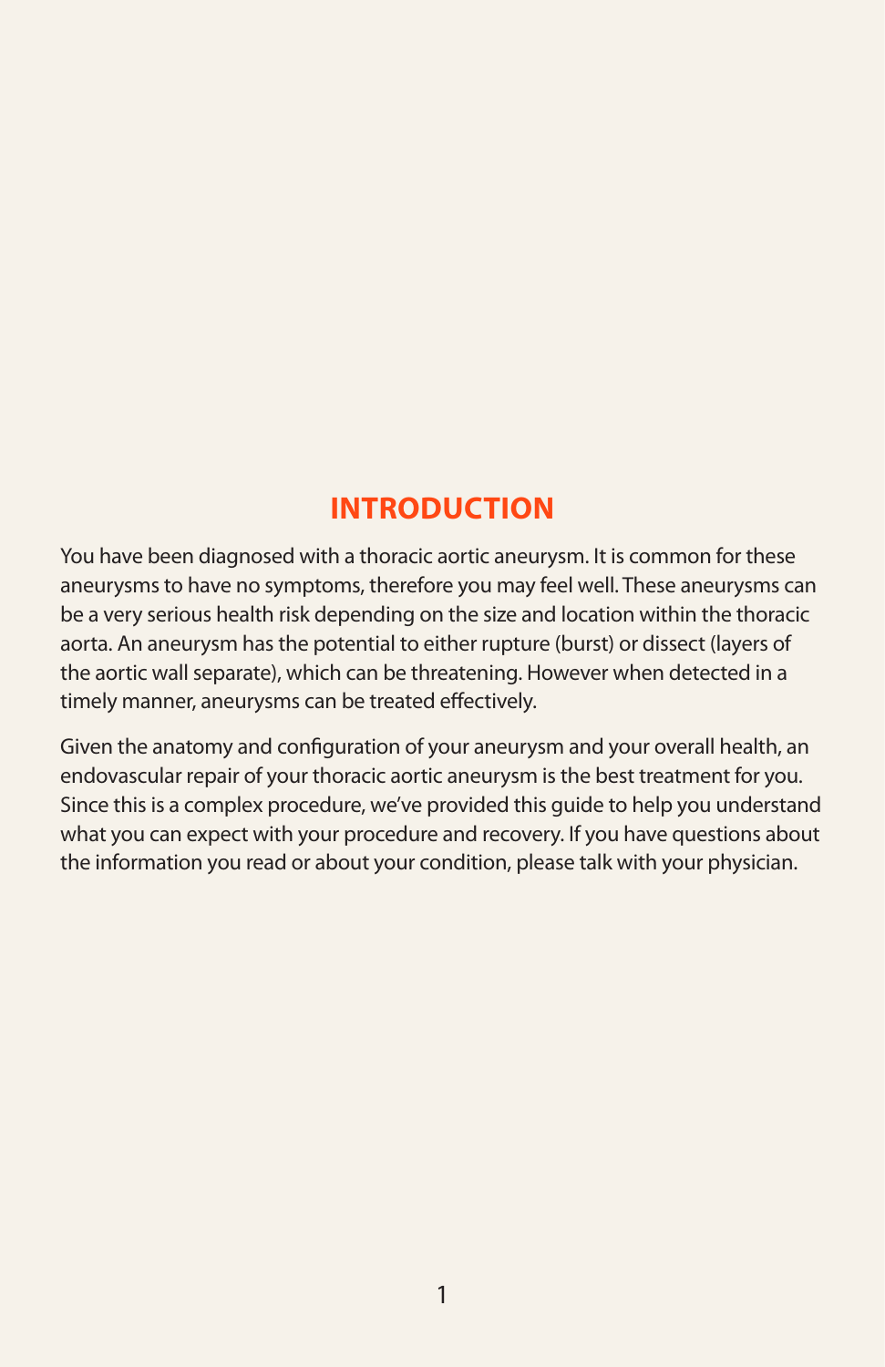## **INTRODUCTION**

You have been diagnosed with a thoracic aortic aneurysm. It is common for these aneurysms to have no symptoms, therefore you may feel well. These aneurysms can be a very serious health risk depending on the size and location within the thoracic aorta. An aneurysm has the potential to either rupture (burst) or dissect (layers of the aortic wall separate), which can be threatening. However when detected in a timely manner, aneurysms can be treated effectively.

Given the anatomy and configuration of your aneurysm and your overall health, an endovascular repair of your thoracic aortic aneurysm is the best treatment for you. Since this is a complex procedure, we've provided this guide to help you understand what you can expect with your procedure and recovery. If you have questions about the information you read or about your condition, please talk with your physician.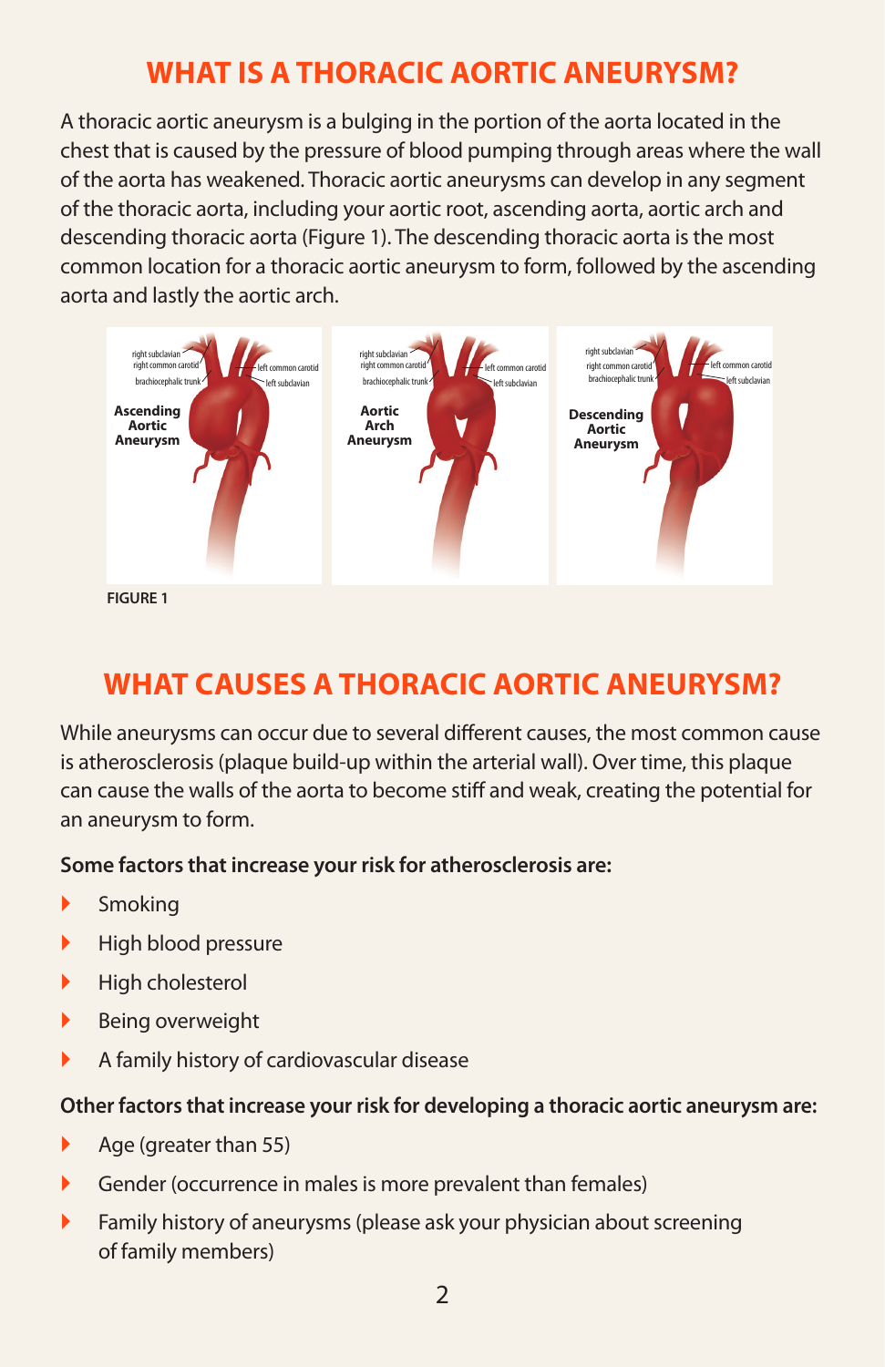# **WHAT IS A THORACIC AORTIC ANEURYSM?**

A thoracic aortic aneurysm is a bulging in the portion of the aorta located in the chest that is caused by the pressure of blood pumping through areas where the wall of the aorta has weakened. Thoracic aortic aneurysms can develop in any segment of the thoracic aorta, including your aortic root, ascending aorta, aortic arch and descending thoracic aorta (Figure 1). The descending thoracic aorta is the most common location for a thoracic aortic aneurysm to form, followed by the ascending aorta and lastly the aortic arch.



# **WHAT CAUSES A THORACIC AORTIC ANEURYSM?**

While aneurysms can occur due to several different causes, the most common cause is atherosclerosis (plaque build-up within the arterial wall). Over time, this plaque can cause the walls of the aorta to become stiff and weak, creating the potential for an aneurysm to form.

#### **Some factors that increase your risk for atherosclerosis are:**

- Smoking
- $\blacktriangleright$  High blood pressure
- High cholesterol
- $\blacktriangleright$  Being overweight
- A family history of cardiovascular disease

#### **Other factors that increase your risk for developing a thoracic aortic aneurysm are:**

- Age (greater than 55)
- Gender (occurrence in males is more prevalent than females)
- **Family history of aneurysms (please ask your physician about screening** of family members)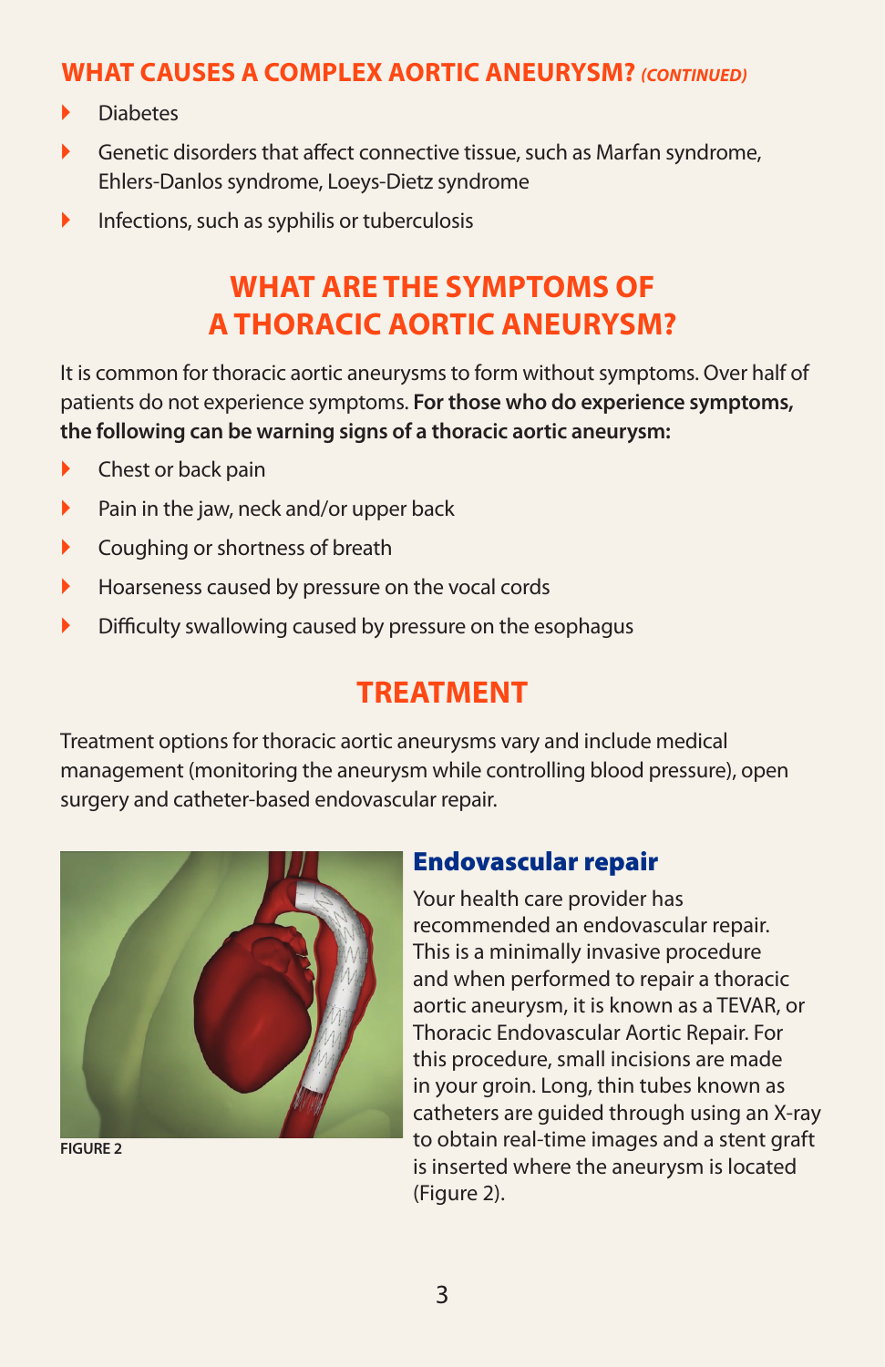### **WHAT CAUSES A COMPLEX AORTIC ANEURYSM?** *(CONTINUED)*

- **Diabetes**
- Genetic disorders that affect connective tissue, such as Marfan syndrome, Ehlers-Danlos syndrome, Loeys-Dietz syndrome
- $\blacktriangleright$  Infections, such as syphilis or tuberculosis

# **WHAT ARE THE SYMPTOMS OF A THORACIC AORTIC ANEURYSM?**

It is common for thoracic aortic aneurysms to form without symptoms. Over half of patients do not experience symptoms. **For those who do experience symptoms, the following can be warning signs of a thoracic aortic aneurysm:**

- ▶ Chest or back pain
- $\blacktriangleright$  Pain in the jaw, neck and/or upper back
- **Coughing or shortness of breath**
- **Hoarseness caused by pressure on the vocal cords**
- Difficulty swallowing caused by pressure on the esophagus

## **TREATMENT**

Treatment options for thoracic aortic aneurysms vary and include medical management (monitoring the aneurysm while controlling blood pressure), open surgery and catheter-based endovascular repair.



Endovascular repair

Your health care provider has recommended an endovascular repair. This is a minimally invasive procedure and when performed to repair a thoracic aortic aneurysm, it is known as a TEVAR, or Thoracic Endovascular Aortic Repair. For this procedure, small incisions are made in your groin. Long, thin tubes known as catheters are guided through using an X-ray to obtain real-time images and a stent graft is inserted where the aneurysm is located (Figure 2).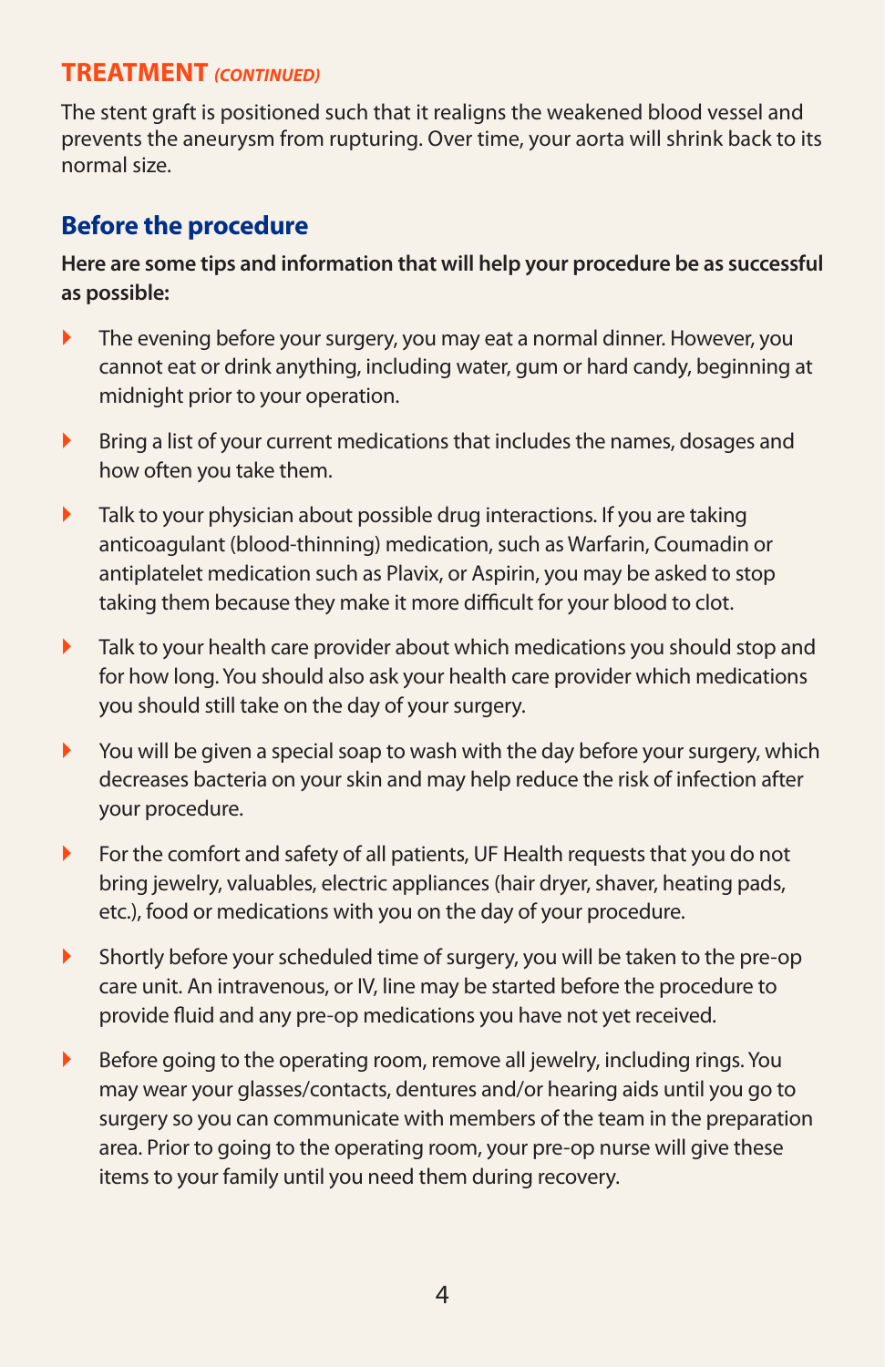### **TREATMENT** *(CONTINUED)*

The stent graft is positioned such that it realigns the weakened blood vessel and prevents the aneurysm from rupturing. Over time, your aorta will shrink back to its normal size.

### **Before the procedure**

#### **Here are some tips and information that will help your procedure be as successful as possible:**

- The evening before your surgery, you may eat a normal dinner. However, you cannot eat or drink anything, including water, gum or hard candy, beginning at midnight prior to your operation.
- **Bring a list of your current medications that includes the names, dosages and** how often you take them.
- $\blacktriangleright$  Talk to your physician about possible drug interactions. If you are taking anticoagulant (blood-thinning) medication, such as Warfarin, Coumadin or antiplatelet medication such as Plavix, or Aspirin, you may be asked to stop taking them because they make it more difficult for your blood to clot.
- **Talk to your health care provider about which medications you should stop and** for how long. You should also ask your health care provider which medications you should still take on the day of your surgery.
- $\blacktriangleright$  You will be given a special soap to wash with the day before your surgery, which decreases bacteria on your skin and may help reduce the risk of infection after your procedure.
- For the comfort and safety of all patients, UF Health requests that you do not bring jewelry, valuables, electric appliances (hair dryer, shaver, heating pads, etc.), food or medications with you on the day of your procedure.
- Shortly before your scheduled time of surgery, you will be taken to the pre-op care unit. An intravenous, or IV, line may be started before the procedure to provide fluid and any pre-op medications you have not yet received.
- Before going to the operating room, remove all jewelry, including rings. You may wear your glasses/contacts, dentures and/or hearing aids until you go to surgery so you can communicate with members of the team in the preparation area. Prior to going to the operating room, your pre-op nurse will give these items to your family until you need them during recovery.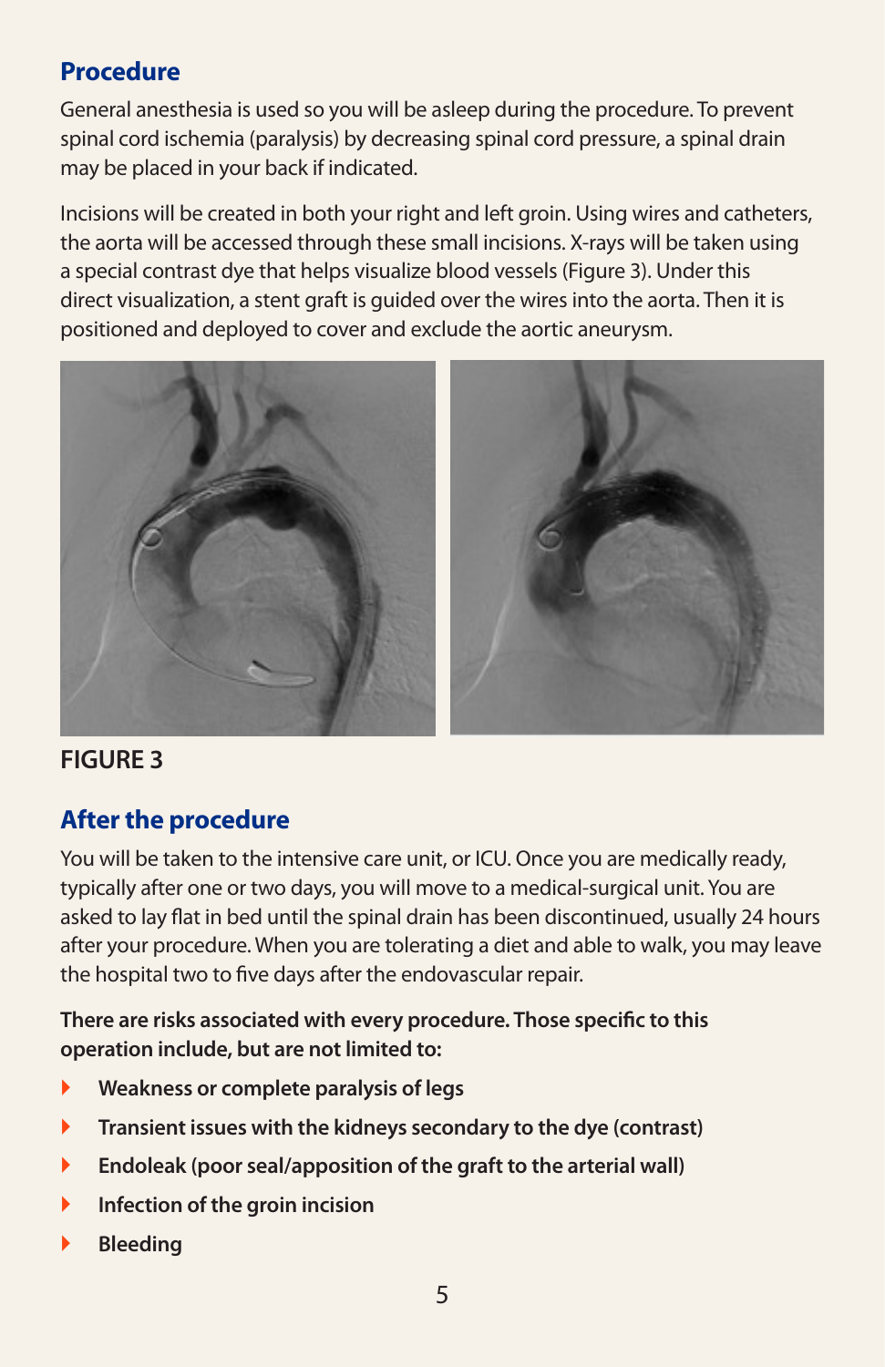## **Procedure**

General anesthesia is used so you will be asleep during the procedure. To prevent spinal cord ischemia (paralysis) by decreasing spinal cord pressure, a spinal drain may be placed in your back if indicated.

Incisions will be created in both your right and left groin. Using wires and catheters, the aorta will be accessed through these small incisions. X-rays will be taken using a special contrast dye that helps visualize blood vessels (Figure 3). Under this direct visualization, a stent graft is guided over the wires into the aorta. Then it is positioned and deployed to cover and exclude the aortic aneurysm.



### **FIGURE 3**

## **After the procedure**

You will be taken to the intensive care unit, or ICU. Once you are medically ready, typically after one or two days, you will move to a medical-surgical unit. You are asked to lay flat in bed until the spinal drain has been discontinued, usually 24 hours after your procedure. When you are tolerating a diet and able to walk, you may leave the hospital two to five days after the endovascular repair.

**There are risks associated with every procedure. Those specific to this operation include, but are not limited to:** 

- **Weakness or complete paralysis of legs**
- **Transient issues with the kidneys secondary to the dye (contrast)**
- **Endoleak (poor seal/apposition of the graft to the arterial wall)**
- **Infection of the groin incision**
- **Bleeding**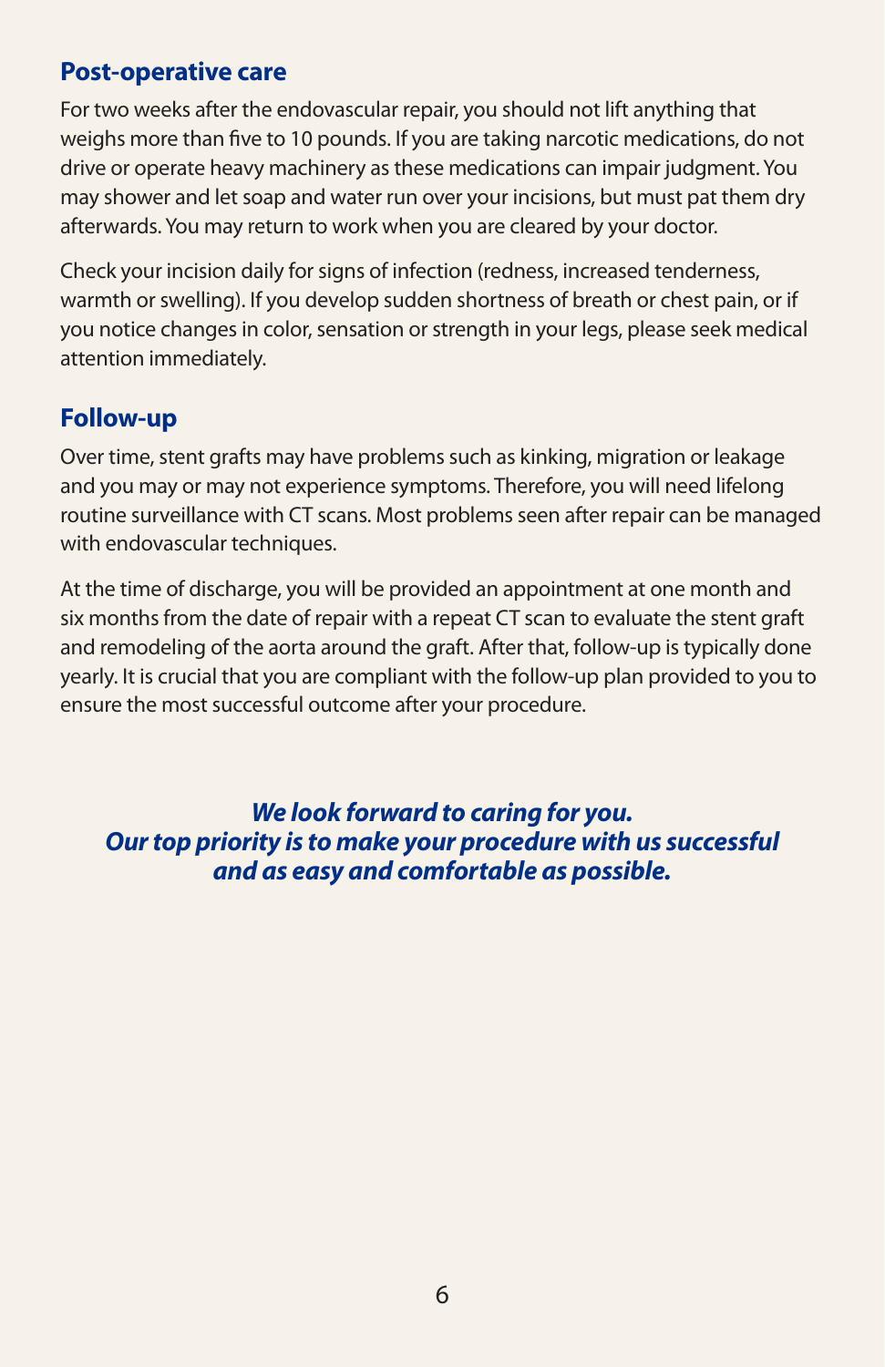#### **Post-operative care**

For two weeks after the endovascular repair, you should not lift anything that weighs more than five to 10 pounds. If you are taking narcotic medications, do not drive or operate heavy machinery as these medications can impair judgment. You may shower and let soap and water run over your incisions, but must pat them dry afterwards. You may return to work when you are cleared by your doctor.

Check your incision daily for signs of infection (redness, increased tenderness, warmth or swelling). If you develop sudden shortness of breath or chest pain, or if you notice changes in color, sensation or strength in your legs, please seek medical attention immediately.

### **Follow-up**

Over time, stent grafts may have problems such as kinking, migration or leakage and you may or may not experience symptoms. Therefore, you will need lifelong routine surveillance with CT scans. Most problems seen after repair can be managed with endovascular techniques.

At the time of discharge, you will be provided an appointment at one month and six months from the date of repair with a repeat CT scan to evaluate the stent graft and remodeling of the aorta around the graft. After that, follow-up is typically done yearly. It is crucial that you are compliant with the follow-up plan provided to you to ensure the most successful outcome after your procedure.

*We look forward to caring for you. Our top priority is to make your procedure with us successful and as easy and comfortable as possible.*